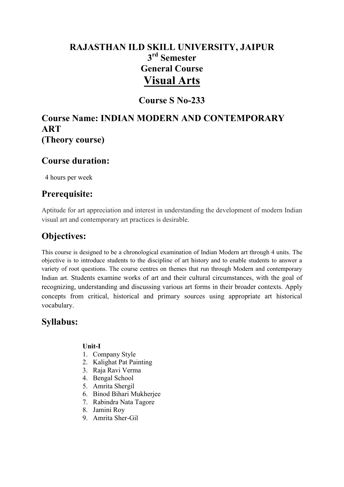# **RAJASTHAN ILD SKILL UNIVERSITY, JAIPUR 3 rd Semester General Course Visual Arts**

## **Course S No-233**

## **Course Name: INDIAN MODERN AND CONTEMPORARY ART (Theory course)**

### **Course duration:**

4 hours per week

### **Prerequisite:**

Aptitude for art appreciation and interest in understanding the development of modern Indian visual art and contemporary art practices is desirable.

## **Objectives:**

This course is designed to be a chronological examination of Indian Modern art through 4 units. The objective is to introduce students to the discipline of art history and to enable students to answer a variety of root questions. The course centres on themes that run through Modern and contemporary Indian art. Students examine works of art and their cultural circumstances, with the goal of recognizing, understanding and discussing various art forms in their broader contexts. Apply concepts from critical, historical and primary sources using appropriate art historical vocabulary.

### **Syllabus:**

### **Unit-I**

- 1. Company Style
- 2. Kalighat Pat Painting
- 3. Raja Ravi Verma
- 4. Bengal School
- 5. Amrita Shergil
- 6. Binod Bihari Mukherjee
- 7. Rabindra Nata Tagore
- 8. Jamini Roy
- 9. Amrita Sher-Gil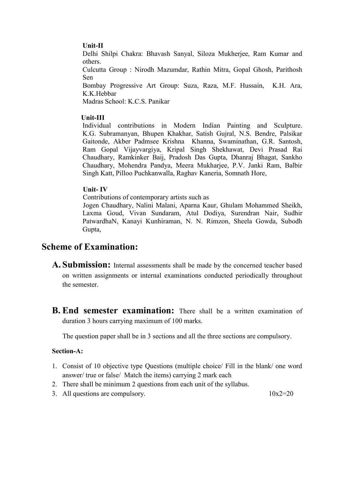#### **Unit-II**

Delhi Shilpi Chakra: Bhavash Sanyal, Siloza Mukherjee, Ram Kumar and others.

Culcutta Group : Nirodh Mazumdar, Rathin Mitra, Gopal Ghosh, Parithosh Sen

Bombay Progressive Art Group: Suza, Raza, M.F. Hussain, K.H. Ara, K.K.Hebbar

Madras School: K.C.S. Panikar

#### **Unit-III**

Individual contributions in Modern Indian Painting and Sculpture. K.G. Subramanyan, Bhupen Khakhar, Satish Gujral, N.S. Bendre, Palsikar Gaitonde, Akber Padmsee Krishna Khanna, Swaminathan, G.R. Santosh, Ram Gopal Vijayvargiya, Kripal Singh Shekhawat, Devi Prasad Rai Chaudhary, Ramkinker Baij, Pradosh Das Gupta, Dhanraj Bhagat, Sankho Chaudhary, Mohendra Pandya, Meera Mukharjee, P.V. Janki Ram, Balbir Singh Katt, Pilloo Puchkanwalla, Raghav Kaneria, Somnath Hore,

#### **Unit- IV**

Contributions of contemporary artists such as

 Jogen Chaudhary, Nalini Malani, Aparna Kaur, Ghulam Mohammed Sheikh, Laxma Goud, Vivan Sundaram, Atul Dodiya, Surendran Nair, Sudhir PatwardhaN, Kanayi Kunhiraman, N. N. Rimzon, Sheela Gowda, Subodh Gupta,

### **Scheme of Examination:**

- **A. Submission:** Internal assessments shall be made by the concerned teacher based on written assignments or internal examinations conducted periodically throughout the semester.
- **B. End semester examination:** There shall be a written examination of duration 3 hours carrying maximum of 100 marks.

The question paper shall be in 3 sections and all the three sections are compulsory.

#### **Section-A:**

- 1. Consist of 10 objective type Questions (multiple choice/ Fill in the blank/ one word answer/ true or false/ Match the items) carrying 2 mark each
- 2. There shall be minimum 2 questions from each unit of the syllabus.
- 3. All questions are compulsory.  $10x2=20$